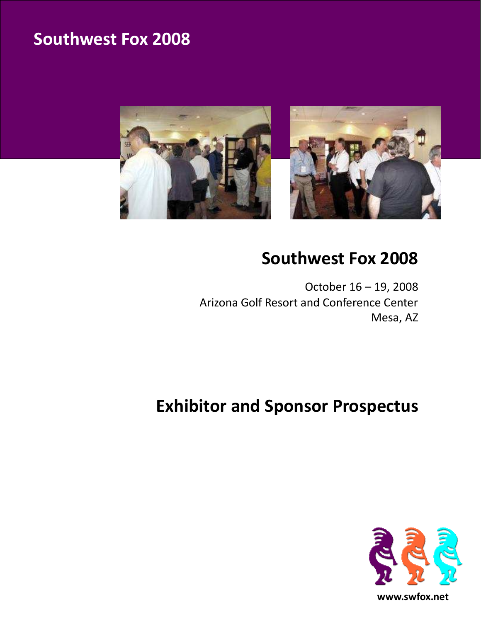

## Southwest Fox 2008

October 16 – 19, 2008 Arizona Golf Resort and Conference Center Mesa, AZ

# Exhibitor and Sponsor Prospectus

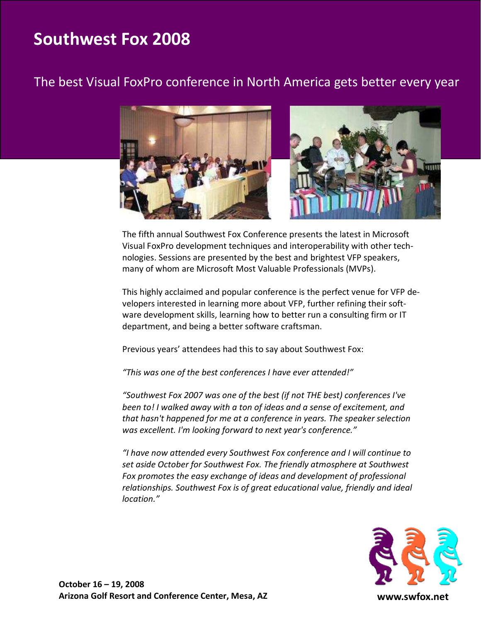## The best Visual FoxPro conference in North America gets better every year



The fifth annual Southwest Fox Conference presents the latest in Microsoft Visual FoxPro development techniques and interoperability with other technologies. Sessions are presented by the best and brightest VFP speakers, many of whom are Microsoft Most Valuable Professionals (MVPs).

This highly acclaimed and popular conference is the perfect venue for VFP developers interested in learning more about VFP, further refining their software development skills, learning how to better run a consulting firm or IT department, and being a better software craftsman.

Previous years' attendees had this to say about Southwest Fox:

"This was one of the best conferences I have ever attended!"

"Southwest Fox 2007 was one of the best (if not THE best) conferences I've been to! I walked away with a ton of ideas and a sense of excitement, and that hasn't happened for me at a conference in years. The speaker selection was excellent. I'm looking forward to next year's conference."

"I have now attended every Southwest Fox conference and I will continue to set aside October for Southwest Fox. The friendly atmosphere at Southwest Fox promotes the easy exchange of ideas and development of professional relationships. Southwest Fox is of great educational value, friendly and ideal location."



www.swfox.net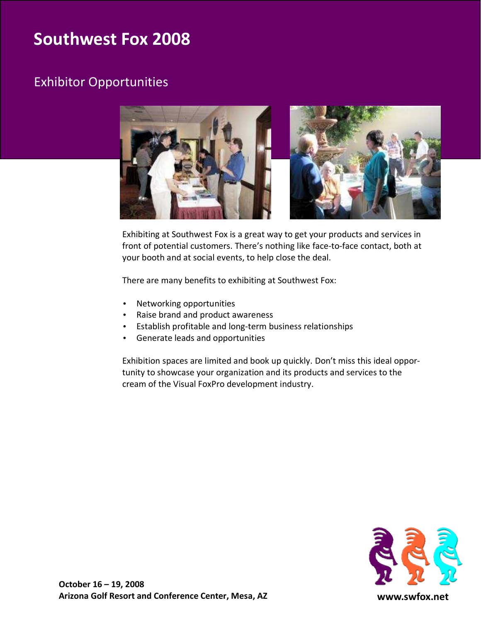## Exhibitor Opportunities



Exhibiting at Southwest Fox is a great way to get your products and services in front of potential customers. There's nothing like face-to-face contact, both at your booth and at social events, to help close the deal.

There are many benefits to exhibiting at Southwest Fox:

- Networking opportunities
- Raise brand and product awareness
- Establish profitable and long-term business relationships
- Generate leads and opportunities

Exhibition spaces are limited and book up quickly. Don't miss this ideal opportunity to showcase your organization and its products and services to the cream of the Visual FoxPro development industry.

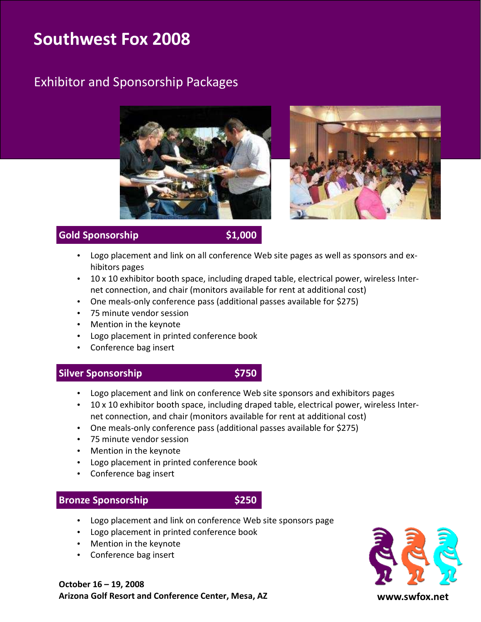## Exhibitor and Sponsorship Packages





### Gold Sponsorship \$1,000

- Logo placement and link on all conference Web site pages as well as sponsors and exhibitors pages
- 10 x 10 exhibitor booth space, including draped table, electrical power, wireless Internet connection, and chair (monitors available for rent at additional cost)
- One meals-only conference pass (additional passes available for \$275)
- 75 minute vendor session
- Mention in the keynote
- Logo placement in printed conference book
- Conference bag insert

#### Silver Sponsorship \$750

- Logo placement and link on conference Web site sponsors and exhibitors pages
- 10 x 10 exhibitor booth space, including draped table, electrical power, wireless Internet connection, and chair (monitors available for rent at additional cost)
- One meals-only conference pass (additional passes available for \$275)
- 75 minute vendor session
- Mention in the keynote
- Logo placement in printed conference book
- Conference bag insert

#### Bronze Sponsorship **\$250**

- Logo placement and link on conference Web site sponsors page
- Logo placement in printed conference book
- Mention in the keynote
- Conference bag insert



October 16 – 19, 2008 Arizona Golf Resort and Conference Center, Mesa, AZ

www.swfox.net